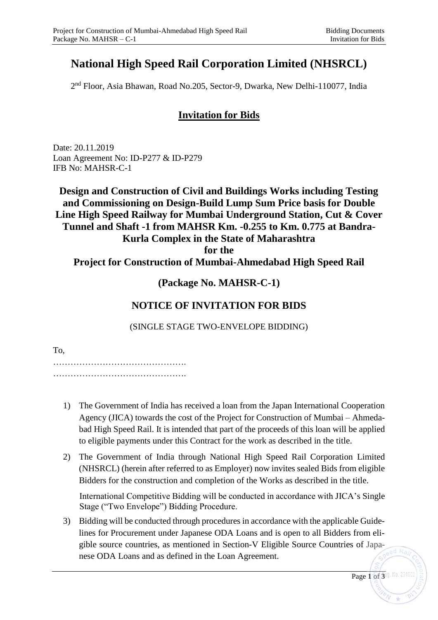# **National High Speed Rail Corporation Limited (NHSRCL)**

2 nd Floor, Asia Bhawan, Road No.205, Sector-9, Dwarka, New Delhi-110077, India

## **Invitation for Bids**

Date: 20.11.2019 Loan Agreement No: ID-P277 & ID-P279 IFB No: MAHSR-C-1

**Design and Construction of Civil and Buildings Works including Testing and Commissioning on Design-Build Lump Sum Price basis for Double Line High Speed Railway for Mumbai Underground Station, Cut & Cover Tunnel and Shaft -1 from MAHSR Km. -0.255 to Km. 0.775 at Bandra-Kurla Complex in the State of Maharashtra for the** 

#### **Project for Construction of Mumbai-Ahmedabad High Speed Rail**

### **(Package No. MAHSR-C-1)**

### **NOTICE OF INVITATION FOR BIDS**

(SINGLE STAGE TWO-ENVELOPE BIDDING)

To,

………………………………………. ……………………………………….

- 1) The Government of India has received a loan from the Japan International Cooperation Agency (JICA) towards the cost of the Project for Construction of Mumbai – Ahmedabad High Speed Rail. It is intended that part of the proceeds of this loan will be applied to eligible payments under this Contract for the work as described in the title.
- 2) The Government of India through National High Speed Rail Corporation Limited (NHSRCL) (herein after referred to as Employer) now invites sealed Bids from eligible Bidders for the construction and completion of the Works as described in the title.

International Competitive Bidding will be conducted in accordance with JICA's Single Stage ("Two Envelope") Bidding Procedure.

3) Bidding will be conducted through procedures in accordance with the applicable Guidelines for Procurement under Japanese ODA Loans and is open to all Bidders from eligible source countries, as mentioned in Section-V Eligible Source Countries of Japanese ODA Loans and as defined in the Loan Agreement.

Page  $1\overline{6}$  f  $\overline{3}$ <sup>eg. No. 29100</sup>

 $dd$   $Ra$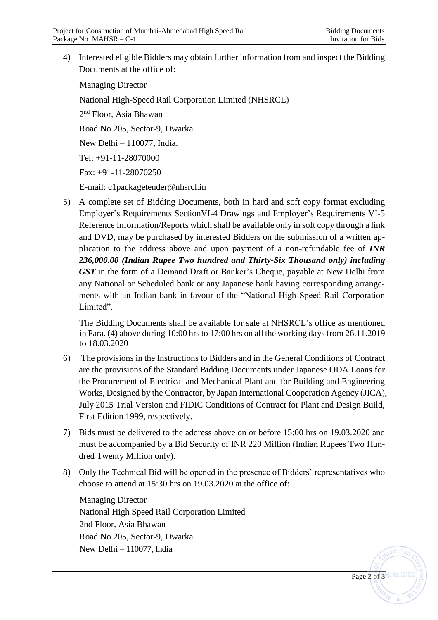Page 2 of 3<sup>eg</sup>. No. 29100

4) Interested eligible Bidders may obtain further information from and inspect the Bidding Documents at the office of:

Managing Director National High-Speed Rail Corporation Limited (NHSRCL) 2<sup>nd</sup> Floor, Asia Bhawan Road No.205, Sector-9, Dwarka New Delhi – 110077, India. Tel: +91-11-28070000 Fax: +91-11-28070250 E-mail: c1packagetender@nhsrcl.in

5) A complete set of Bidding Documents, both in hard and soft copy format excluding Employer's Requirements SectionVI-4 Drawings and Employer's Requirements VI-5 Reference Information/Reports which shall be available only in soft copy through a link and DVD, may be purchased by interested Bidders on the submission of a written application to the address above and upon payment of a non-refundable fee of *INR 236,000.00 (Indian Rupee Two hundred and Thirty-Six Thousand only) including GST* in the form of a Demand Draft or Banker's Cheque, payable at New Delhi from any National or Scheduled bank or any Japanese bank having corresponding arrangements with an Indian bank in favour of the "National High Speed Rail Corporation Limited".

The Bidding Documents shall be available for sale at NHSRCL's office as mentioned in Para. (4) above during 10:00 hrs to 17:00 hrs on all the working days from 26.11.2019 to 18.03.2020

- 6) The provisions in the Instructions to Bidders and in the General Conditions of Contract are the provisions of the Standard Bidding Documents under Japanese ODA Loans for the Procurement of Electrical and Mechanical Plant and for Building and Engineering Works, Designed by the Contractor, by Japan International Cooperation Agency (JICA), July 2015 Trial Version and FIDIC Conditions of Contract for Plant and Design Build, First Edition 1999, respectively.
- 7) Bids must be delivered to the address above on or before 15:00 hrs on 19.03.2020 and must be accompanied by a Bid Security of INR 220 Million (Indian Rupees Two Hundred Twenty Million only).
- 8) Only the Technical Bid will be opened in the presence of Bidders' representatives who choose to attend at 15:30 hrs on 19.03.2020 at the office of:

Managing Director National High Speed Rail Corporation Limited 2nd Floor, Asia Bhawan Road No.205, Sector-9, Dwarka New Delhi – 110077, India